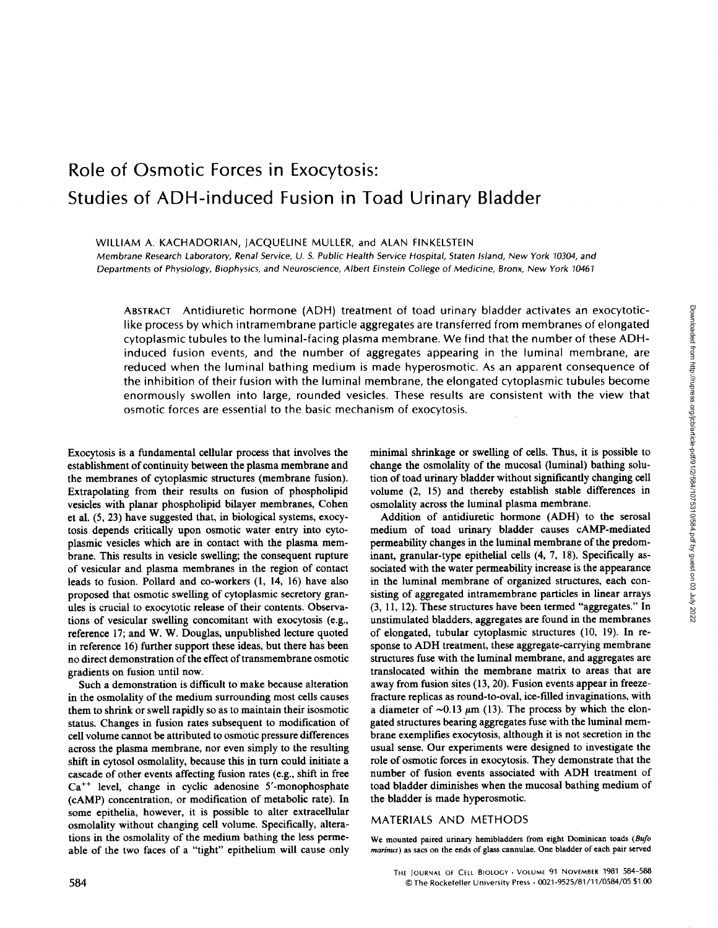# Role of Osmotic Forces in Exocytosis: Studies of ADH-induced Fusion in Toad Urinary Bladder

#### WILLIAM A. KACHADORIAN, JACQUELINE MULLER, and ALAN FINKELSTEIN

Membrane Research Laboratory, Renal Service, U S. Public Health Service Hospital, Staten Island, New York 10304, and Departments of Physiology, Biophysics, and Neuroscience, Albert Einstein College of Medicine, Bronx, New York <sup>10461</sup>

ABSTRACT Antidiuretic hormone (ADH) treatment of toad urinary bladder activates an exocytoticlike process by which intramembrane particle aggregates are transferred from membranes of elongated cytoplasmic tubules to the luminal-facing plasma membrane. We find that the number of these ADHinduced fusion events, and the number of aggregates appearing in the luminal membrane, are reduced when the luminal bathing medium is made hyperosmotic. As an apparent consequence of the inhibition of their fusion with the luminal membrane, the elongated cytoplasmic tubules become enormously swollen into large, rounded vesicles . These results are consistent with the view that osmotic forces are essential to the basic mechanism of exocytosis .

Exocytosis is a fundamental cellular process that involves the establishment of continuity between the plasma membrane and the membranes of cytoplasmic structures (membrane fusion). Extrapolating from their results on fusion of phospholipid vesicles with planar phospholipid bilayer membranes, Cohen et al. (5, 23) have suggested that, in biological systems, exocytosis depends critically upon osmotic water entry into cytoplasmic vesicles which are in contact with the plasma membrane. This results in vesicle swelling; the consequent rupture of vesicular and plasma membranes in the region of contact leads to fusion. Pollard and co-workers (1, 14, 16) have also proposed that osmotic swelling of cytoplasmic secretory granules is crucial to exocytotic release of their contents. Observations of vesicular swelling concomitant with exocytosis (e .g., reference 17; and W. W. Douglas, unpublished lecture quoted in reference 16) further support these ideas, but there has been no direct demonstration of the effect of transmembrane osmotic gradients on fusion until now.

Such a demonstration is difficult to make because alteration in the osmolality of the medium surrounding most cells causes them to shrink or swell rapidly so as to maintain their isosmotic status. Changes in fusion rates subsequent to modification of cell volume cannot be attributed to osmotic pressure differences across the plasma membrane, nor even simply to the resulting shift in cytosol osmolality, because this in turn could initiate a cascade of other events affecting fusion rates (e .g., shift in free  $Ca^{++}$  level, change in cyclic adenosine 5'-monophosphate (cAMP) concentration, or modification of metabolic rate). In some epithelia, however, it is possible to alter extracellular osmolality without changing cell volume. Specifically, alterations in the osmolality of the medium bathing the less permeable of the two faces of a "tight" epithelium will cause only

minimal shrinkage or swelling of cells. Thus, it is possible to change the osmolality of the mucosal (luminal) bathing solution of toad urinary bladder without significantly changing cell volume (2, 15) and thereby establish stable differences in osmolality across the luminal plasma membrane.

Addition of antidiuretic hormone (ADH) to the serosal medium of toad urinary bladder causes cAMP-mediated permeability changes in the luminal membrane of the predominant, granular-type epithelial cells (4, 7, 18) . Specifically associated with the water permeability increase is the appearance in the luminal membrane of organized structures, each consisting of aggregated intramembrane particles in linear arrays (3, 11, 12). These structures have been termed "aggregates ." In unstimulated bladders, aggregates are found in the membranes of elongated, tubular cytoplasmic structures (10, 19). In response to ADH treatment, these aggregate-carrying membrane structures fuse with the luminal membrane, and aggregates are translocated within the membrane matrix to areas that are away from fusion sites (13, 20). Fusion events appear in freezefracture replicas as round-to-oval, ice-filled invaginations, with a diameter of  $\sim 0.13 \mu m$  (13). The process by which the elongated structures bearing aggregates fuse with the luminal membrane exemplifies exocytosis, although it is not secretion in the usual sense. Our experiments were designed to investigate the role of osmotic forces in exocytosis. They demonstrate that the number of fusion events associated with ADH treatment of toad bladder diminishes when the mucosal bathing medium of the bladder is made hyperosmotic.

#### MATERIALS AND METHODS

We mounted paired urinary hemibladders from eight Dominican toads (Bufo marinus) as sacs on the ends of glass cannulae. One bladder of each pair served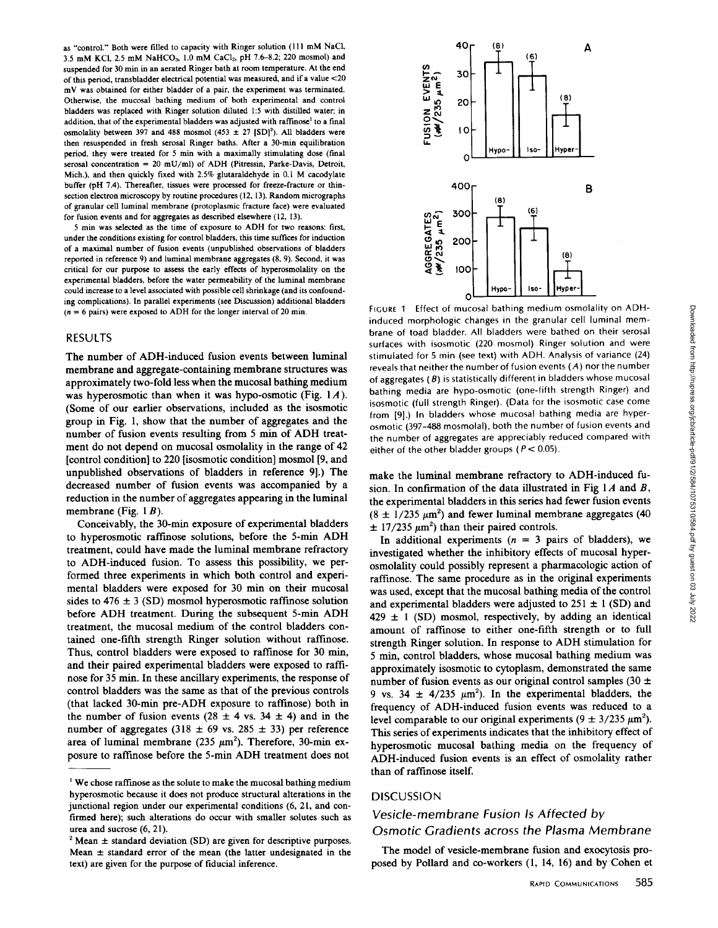as "control." Both were filled to capacity with Ringer solution (111 mM NaCl, 3.5 mM KCl, 2.5 mM NaHCO<sub>3</sub>, 1.0 mM CaCl<sub>2</sub>, pH 7.6-8.2; 220 mosmol) and suspended for 30 min in an aerated Ringer bath at room temperature. At the end of this period, transbladder electrical potential was measured, and if a value <20 mV was obtained for either bladder of a pair, the experiment was terminated. Otherwise, the mucosal bathing medium of both experimental and control bladders was replaced with Ringer solution diluted 1:5 with distilled water; in addition, that of the experimental bladders was adjusted with raffinose' to a final osmolality between 397 and 488 mosmol (453  $\pm$  27 [SD]<sup>2</sup>). All bladders were then resuspended in fresh serosal Ringer baths. After a 30-min equilibration period, they were treated for <sup>5</sup> min with a maximally stimulating dose (final serosal concentration = 20 mU/ml) of ADH (Pitressin, Parke-Davis, Detroit, Mich.), and then quickly fixed with 2.5% glutaraldehyde in 0.1 M cacodylate buffer (pH 7.4). Thereafter, tissues were processed for freeze-fracture or thinsection electron microscopy by routine procedures (12, 13). Random micrographs of granular cell luminal membrane (protoplasmic fracture face) were evaluated for fusion events and for aggregates as described elsewhere (12, l3).

<sup>5</sup> min was selected as the time of exposure to ADH for two reasons: first, under the conditions existing for control bladders, this time suffices for induction of a maximal number of fusion events (unpublished observations of bladders reported in reference 9) and luminal membrane aggregates (8, 9). Second, it was critical for our purpose to assess the early effects of hyperosmolality on the experimental bladders, before the water permeability of the luminal membrane could increase to a level associated with possible cell shrinkage (and its confounding complications) In parallel experiments (see Discussion) additional bladders  $(n = 6 \text{ pairs})$  were exposed to ADH for the longer interval of 20 min.

## RESULTS

The number of ADH-induced fusion events between luminal membrane and aggregate-containing membrane structures was approximately two-fold less when the mucosal bathing medium was hyperosmotic than when it was hypo-osmotic (Fig.  $1A$ ). (Some of our earlier observations, included as the isosmotic group in Fig. 1, show that the number of aggregates and the number of fusion events resulting from <sup>5</sup> min of ADH treatment do not depend on mucosal osmolality in the range of 42 [control condition] to 220 [isosmotic condition] mosmol [9, and unpublished observations of bladders in reference 9. The decreased number of fusion events was accompanied by a reduction in the number of aggregates appearing in the luminal membrane (Fig.  $1 \, B$ ).

Conceivably, the 30-min exposure of experimental bladders to hyperosmotic raffinose solutions, before the 5-min ADH treatment, could have made the luminal membrane refractory to ADH-induced fusion. To assess this possibility, we performed three experiments in which both control and experimental bladders were exposed for 30 min on their mucosal sides to  $476 \pm 3$  (SD) mosmol hyperosmotic raffinose solution before ADH treatment. During the subsequent 5-min ADH treatment, the mucosal medium of the control bladders contained one-fifth strength Ringer solution without raffinose. Thus, control bladders were exposed to raffinose for 30 min, and their paired experimental bladders were exposed to raffinose for 35 min. In these ancillary experiments, the response of control bladders was the same as that of the previous controls (that lacked 30-min pre-ADH exposure to raffmose) both in the number of fusion events (28  $\pm$  4 vs. 34  $\pm$  4) and in the number of aggregates (318  $\pm$  69 vs. 285  $\pm$  33) per reference area of luminal membrane (235  $\mu$ m<sup>2</sup>). Therefore, 30-min exposure to raffinose before the 5-min ADH treatment does not



FIGURE <sup>1</sup> Effect of mucosal bathing medium osmolality on ADHinduced morphologic changes in the granular cell luminal membrane of toad bladder. All bladders were bathed on their serosal surfaces with isosmotic (220 mosmol) Ringer solution and were stimulated for 5 min (see text) with ADH. Analysis of variance (24) reveals that neither the number of fusion events (A) nor the number of aggregates  $(B)$  is statistically different in bladders whose mucosal bathing media are hypo-osmotic (one-fifth strength Ringer) and isosmotic (full strength Ringer). (Data for the isosmotic case come from [9].) In bladders whose mucosal bathing media are hyperosmotic (397-488 mosmolal), both the number of fusion events and the number of aggregates are appreciably reduced compared with either of the other bladder groups ( $P < 0.05$ ).

make the luminal membrane refractory to ADH-induced fusion. In confirmation of the data illustrated in Fig  $1A$  and B, the experimental bladders in this series had fewer fusion events  $(8 \pm 1/235 \text{ }\mu\text{m}^2)$  and fewer luminal membrane aggregates (40)  $\pm$  17/235  $\mu$ m<sup>2</sup>) than their paired controls.

In additional experiments ( $n = 3$  pairs of bladders), we investigated whether the inhibitory effects of mucosal hyperosmolality could possibly represent a pharmacologic action of raffinose. The same procedure as in the original experiments was used, except that the mucosal bathing media of the control and experimental bladders were adjusted to  $251 \pm 1$  (SD) and  $429 \pm 1$  (SD) mosmol, respectively, by adding an identical amount of raffinose to either one-fifth strength or to full strength Ringer solution . In response to ADH stimulation for 5 min, control bladders, whose mucosal bathing medium was approximately isosmotic to cytoplasm, demonstrated the same number of fusion events as our original control samples (30  $\pm$ 9 vs. 34  $\pm$  4/235  $\mu$ m<sup>2</sup>). In the experimental bladders, the frequency of ADH-induced fusion events was reduced to a level comparable to our original experiments ( $9 \pm 3/235 \mu m^2$ ). This series of experiments indicates that the inhibitory effect of hyperosmotic mucosal bathing media on the frequency of ADH-induced fusion events is an effect of osmolality rather than of raffmose itself.

### **DISCUSSION**

## Vesicle-membrane Fusion Is Affected by Osmotic Gradients across the Plasma Membrane

The model of vesicle-membrane fusion and exocytosis proposed by Pollard and co-workers (1, 14, 16) and by Cohen et

 $<sup>1</sup>$  We chose raffinose as the solute to make the mucosal bathing medium</sup> hyperosmotic because it does not produce structural alterations in the junctional region under our experimental conditions (6, 21, and confirmed here); such alterations do occur with smaller solutes such as urea and sucrose (6, 21).

<sup>&</sup>lt;sup>2</sup> Mean  $\pm$  standard deviation (SD) are given for descriptive purposes. Mean  $\pm$  standard error of the mean (the latter undesignated in the text) are given for the purpose of fiducial inference.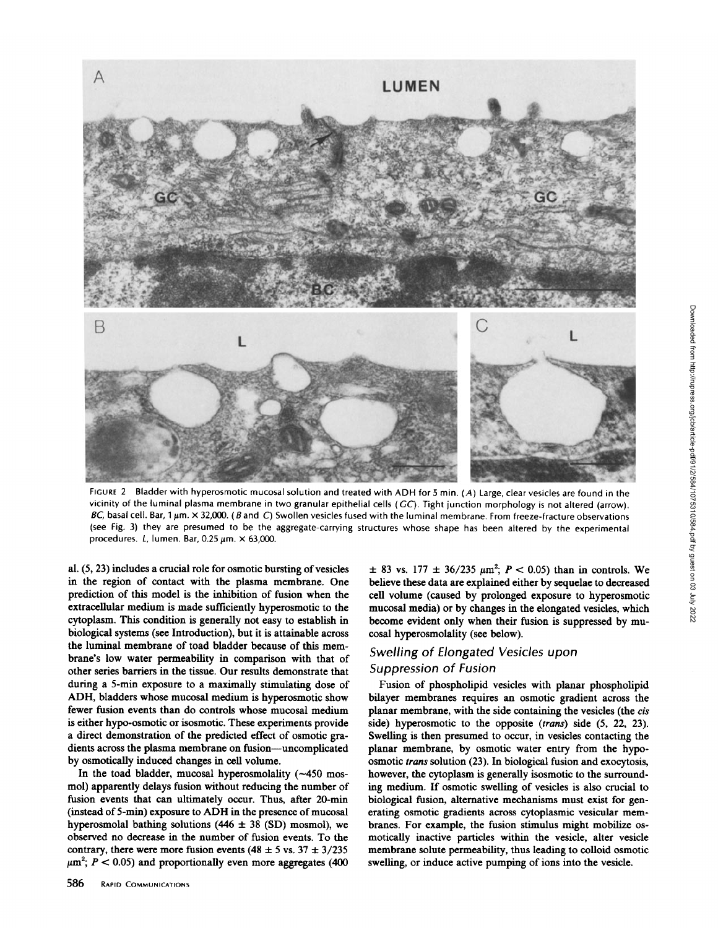

FIGURE <sup>2</sup> Bladder with hyperosmotic mucosal solution and treated with ADH for <sup>5</sup> min. (A) Large, clear vesicles are found in the vicinity of the luminal plasma membrane in two granular epithelial cells (GC). Tight junction morphology is not altered (arrow). BC, basal cell. Bar, 1  $\mu$ m.  $\times$  32,000. (B and C) Swollen vesicles fused with the luminal membrane. From freeze-fracture observations (see Fig. 3) they are presumed to be the aggregate-carrying structures whose shape has been altered by the experimental procedures. L, lumen. Bar, 0.25  $\mu$ m.  $\times$  63,000.

al.  $(5, 23)$  includes a crucial role for osmotic bursting of vesicles in the region of contact with the plasma membrane. One prediction of this model is the inhibition of fusion when the extracellular medium is made sufficiently hyperosmotic to the cytoplasm. This condition is generally not easy to establish in biological systems (see Introduction), but it is attainable across the luminal membrane of toad bladder because of this membrane's low water permeability in comparison with that of other series barriers in the tissue . Our results demonstrate that during a 5-min exposure to a maximally stimulating dose of ADH, bladders whose mucosal medium is hyperosmotic show fewer fusion events than do controls whose mucosal medium is either hypo-osmotic or isosmotic. These experiments provide a direct demonstration of the predicted effect of osmotic gradients across the plasma membrane on fusion-uncomplicated by osmotically induced changes in cell volume.

In the toad bladder, mucosal hyperosmolality  $(-450$  mosmol) apparently delays fusion without reducing the number of fusion events that can ultimately occur. Thus, after 20-min (instead of 5-min) exposure to ADH in the presence of mucosal hyperosmolal bathing solutions (446  $\pm$  38 (SD) mosmol), we observed no decrease in the number of fusion events . To the contrary, there were more fusion events (48  $\pm$  5 vs. 37  $\pm$  3/235  $\mu$ m<sup>2</sup>;  $P < 0.05$ ) and proportionally even more aggregates (400)

 $\pm$  83 vs. 177  $\pm$  36/235  $\mu$ m<sup>2</sup>;  $P < 0.05$ ) than in controls. We believe these data are explained either by sequelae to decreased cell volume (caused by prolonged exposure to hyperosmotic mucosal media) or by changes in the elongated vesicles, which become evident only when their fusion is suppressed by mucosal hyperosmolality (see below).

# Swelling of Elongated Vesicles upon Suppression of Fusion

Fusion of phospholipid vesicles with planar phospholipid bilayer membranes requires an osmotic gradient across the planar membrane, with the side containing the vesicles (the cis side) hyperosmotic to the opposite (trans) side (5, 22, 23). Swelling is then presumed to occur, in vesicles contacting the planar membrane, by osmotic water entry from the hypoosmotic trans solution (23). In biological fusion and exocytosis, however, the cytoplasm is generally isosmotic to the surrounding medium. If osmotic swelling of vesicles is also crucial to biological fusion, alternative mechanisms must exist for generating osmotic gradients across cytoplasmic vesicular membranes. For example, the fusion stimulus might mobilize osmotically inactive particles within the vesicle, alter vesicle membrane solute permeability, thus leading to colloid osmotic swelling, or induce active pumping of ions into the vesicle.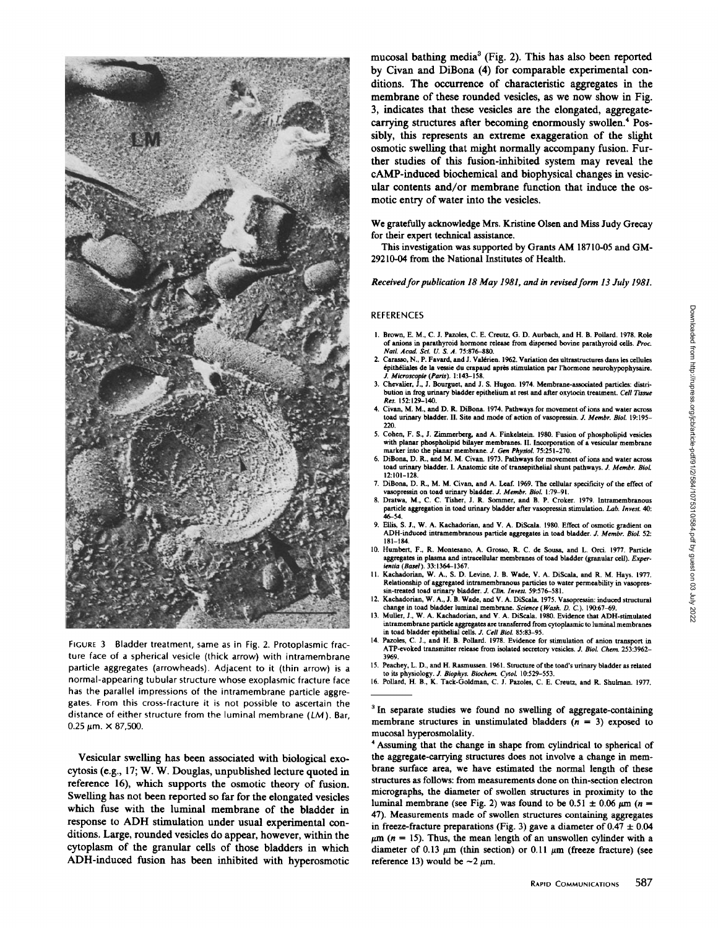

FIGURE 3 Bladder treatment, same as in Fig. 2. Protoplasmic fracture face of a spherical vesicle (thick arrow) with intramembrane particle aggregates (arrowheads). Adjacent to it (thin arrow) is a normal-appearing tubular structure whose exoplasmic fracture face has the parallel impressions of the intramembrane particle aggregates. From this cross-fracture it is not possible to ascertain the distance of either structure from the luminal membrane (LM). Bar,  $0.25 \ \mu m. \times 87,500.$ 

Vesicular swelling has been associated with biological exocytosis (e.g., 17; W. W. Douglas, unpublished lecture quoted in reference 16), which supports the osmotic theory of fusion. Swelling has not been reported so far for the elongated vesicles which fuse with the luminal membrane of the bladder in response to ADH stimulation under usual experimental conditions Large, rounded vesicles do appear, however, within the cytoplasm of the granular cells of those bladders in which ADH-induced fusion has been inhibited with hyperosmotic

mucosal bathing media<sup>3</sup> (Fig. 2). This has also been reported by Civan and DiBona (4) for comparable experimental conditions. The occurrence of characteristic aggregates in the membrane of these rounded vesicles, as we now show in Fig. 3, indicates that these vesicles are the elongated, aggregatecarrying structures after becoming enormously swollen." Possibly, this represents an extreme exaggeration of the slight osmotic swelling that might normally accompany fusion . Further studies of this fusion-inhibited system may reveal the CAMP-induced biochemical and biophysical changes in vesicular contents and/or membrane function that induce the osmotic entry of water into the vesicles .

We gratefully acknowledge Mrs. Kristine Olsen and Miss Judy Grecay for their expert technical assistance .

This investigation was supported by Grants AM 18710-05 and GM-29210-04 from the National Institutes of Health.

Received for publication 18 May 1981, and in revised form 13 July 1981.

#### REFERENCES

- 1. Brown, E. M., C. J. Pazoles, C. E. Creutz, G. D. Aurbach, and H. B. Pollard. 1978. Role of anions in parathyroid hormone release from dispersed bovine parathyroid cells. Proc.<br>Natl. Acad. Sci. U. S. A. 75:876-880.
- Carasso, N., P. Favard, and J. Valérien. 1962. Variation des ultrastructures dans les cellules 6pith6liales de la vessie du crapaud apres stimulation par 1'hormone neurohypophysaire . J Microscopie (Paris). <sup>1</sup> :143-158. 3 . Chevalier, J., J. Bourguet, and J. S. Hugon. 1974. Membrane-associated particles distri-
- bution in frog urinary bladder epithelium at rest and after oxytocin treatment. Cell Tissue Res. 152:129-140.
- 4. Civan, M. M., and D. R. DiBona. 1974. Pathways for movement of ions and water across toad urinary bladder. II. Site and mode of action of vasopressin. J. Membr. Biol. 19:195-<br>220.
- 5 . Cohen, F . S ., <sup>J</sup> . Zimmerberg, and A . Finkelstein. 1980. Fusion of phospholipid vesicles with planar phospholipid bilayer membranes. II . Incorporation of a vesicular membrane marker into the planar membrane. J. Gen Physiol. 75:251-270.
- <sup>6</sup> DiBona, D. R., and M. M. Civan. <sup>1973</sup> Pathways for movement of ions and water across toad urinary bladder. I. Anatomic site of transepithelial shunt pathways. J. Membr. Biol.<br>12:101-128
- 12:101-128.<br>7. DiBona, D. R., M. M. Civan, and A. Leaf. 1969. The cellular specificity of the effect of<br> $\frac{12.100 \text{ N}}{20.91}$ vasopressin on toad urinary bladder. J. Membr. Biol. 1:79-91.
- 8. Dratwa, M., C. C. Tisher, J. R. Sommer, and B. P. Croker. 1979. Intramembranous particle aggregation in toad urinary bladder after vasopressin stimulation. *Lab. Invest.* 40:<br>46–54.
- 9. Ellis, S. J., W. A. Kachadorian, and V. A. DiScala. 1980. Effect of osmotic gradient on ADH-induced intramembranous particle aggregates in toad bladder. J. Membr. Biol. 52: 181-184.
- 10. Humbert, F., R. Montesano, A. Grosso, R. C. de Sousa, and L. Orci. 1977. Particle aggregates in plasma and intracellular membranes of toad bladder (granular cell). Experientia (Basel). 33:1364-1367.<br>11. Kachadorian, W. A., S. D. Levine, J. B. Wade, V. A. DiScala, and R. M. Hays. 1977.
- Relationship of aggregated intramembranous particles to water permeability in vasopressin-treated toad urinary bladder. J. Clin. Invest. 59:576-581.
- 12. Kachadorian, <sup>W</sup> A., J. B. Wade, and <sup>V</sup> . A. DiScala. 1975. Vasopressin : induced structural change in toad bladder luminal membrane. Science (Wash. D. C) 190 :67-69.
- 13. Muller, J., W. A. Kachadorian, and V. A. DiScala. 1980. Evidence that ADH-stimulated mtramembrane particle aggregates are transferred from cytoplasmic to luminal membranes in toad bladder epithelial cells. J. Cell Biol. 85:83-95
- 14. Pazoles, C. J., and H. B. Pollard. 1978. Evidence for stimulation of anion transport in ATP-evoked transmitter release from isolated secretory vesicles. J. Biol. Chem. 253:3962-<br>3969.
- 3%9. <sup>15</sup> . Peachey, <sup>L</sup> D ., and H. Rasmussen . <sup>1961</sup> . Structure of the toad's urinary bladder as related
- to its physiology. *J. Biophys. Biochem. Cytol.* 10:529–553.<br>16. Pollard, H. B., K. Tack-Goldman, C. J. Pazoles, C. E. Creutz, and R. Shulman. 1977.

<sup>3</sup> In separate studies we found no swelling of aggregate-containing membrane structures in unstimulated bladders  $(n = 3)$  exposed to mucosal hyperosmolality.

' Assuming that the change in shape from cylindrical to spherical of the aggregate-carrying structures does not involve a change in membrane surface area, we have estimated the normal length of these structures as follows: from measurements done onthin-section electron micrographs, the diameter of swollen structures in proximity to the luminal membrane (see Fig. 2) was found to be  $0.51 \pm 0.06 \mu m$  (n = 47). Measurements made of swollen structures containing aggregates in freeze-fracture preparations (Fig. 3) gave a diameter of  $0.47 \pm 0.04$  $\mu$ m (n = 15). Thus, the mean length of an unswollen cylinder with a diameter of 0.13  $\mu$ m (thin section) or 0.11  $\mu$ m (freeze fracture) (see reference 13) would be  $\sim$ 2  $\mu$ m.